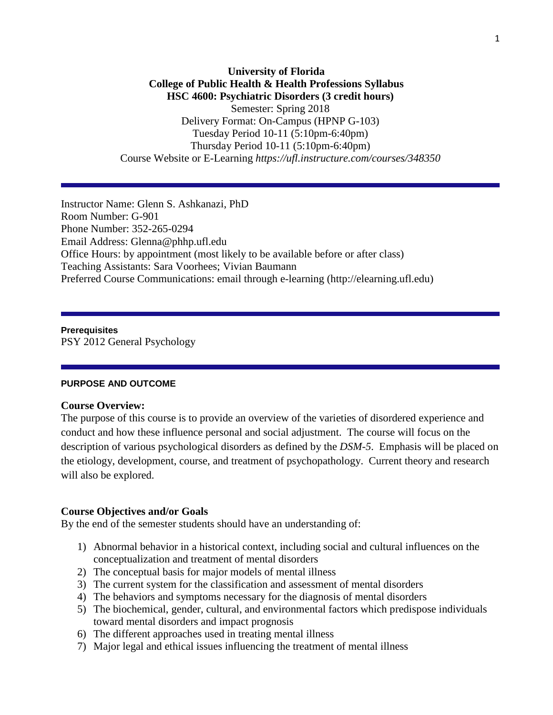## **University of Florida College of Public Health & Health Professions Syllabus HSC 4600: Psychiatric Disorders (3 credit hours)** Semester: Spring 2018 Delivery Format: On-Campus (HPNP G-103) Tuesday Period 10-11 (5:10pm-6:40pm) Thursday Period 10-11 (5:10pm-6:40pm) Course Website or E-Learning *https://ufl.instructure.com/courses/348350*

Instructor Name: Glenn S. Ashkanazi, PhD Room Number: G-901 Phone Number: 352-265-0294 Email Address: Glenna@phhp.ufl.edu Office Hours: by appointment (most likely to be available before or after class) Teaching Assistants: Sara Voorhees; Vivian Baumann Preferred Course Communications: email through e-learning (http://elearning.ufl.edu)

**Prerequisites** PSY 2012 General Psychology

### **PURPOSE AND OUTCOME**

#### **Course Overview:**

The purpose of this course is to provide an overview of the varieties of disordered experience and conduct and how these influence personal and social adjustment. The course will focus on the description of various psychological disorders as defined by the *DSM-5*. Emphasis will be placed on the etiology, development, course, and treatment of psychopathology. Current theory and research will also be explored.

#### **Course Objectives and/or Goals**

By the end of the semester students should have an understanding of:

- 1) Abnormal behavior in a historical context, including social and cultural influences on the conceptualization and treatment of mental disorders
- 2) The conceptual basis for major models of mental illness
- 3) The current system for the classification and assessment of mental disorders
- 4) The behaviors and symptoms necessary for the diagnosis of mental disorders
- 5) The biochemical, gender, cultural, and environmental factors which predispose individuals toward mental disorders and impact prognosis
- 6) The different approaches used in treating mental illness
- 7) Major legal and ethical issues influencing the treatment of mental illness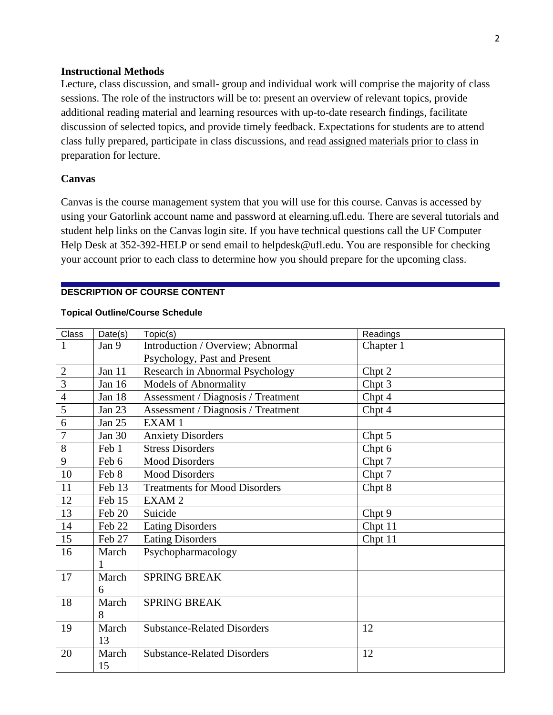### **Instructional Methods**

Lecture, class discussion, and small- group and individual work will comprise the majority of class sessions. The role of the instructors will be to: present an overview of relevant topics, provide additional reading material and learning resources with up-to-date research findings, facilitate discussion of selected topics, and provide timely feedback. Expectations for students are to attend class fully prepared, participate in class discussions, and read assigned materials prior to class in preparation for lecture.

### **Canvas**

Canvas is the course management system that you will use for this course. Canvas is accessed by using your Gatorlink account name and password at elearning.ufl.edu. There are several tutorials and student help links on the Canvas login site. If you have technical questions call the UF Computer Help Desk at 352-392-HELP or send email to helpdesk@ufl.edu. You are responsible for checking your account prior to each class to determine how you should prepare for the upcoming class.

### **DESCRIPTION OF COURSE CONTENT**

### **Topical Outline/Course Schedule**

| Class          | Date(s) | Topic(s)                             | Readings  |
|----------------|---------|--------------------------------------|-----------|
| 1              | Jan 9   | Introduction / Overview; Abnormal    | Chapter 1 |
|                |         | Psychology, Past and Present         |           |
| $\overline{2}$ | Jan 11  | Research in Abnormal Psychology      | Chpt 2    |
| $\overline{3}$ | Jan 16  | <b>Models of Abnormality</b>         | Chpt 3    |
| $\overline{4}$ | Jan 18  | Assessment / Diagnosis / Treatment   | Chpt 4    |
| 5              | Jan 23  | Assessment / Diagnosis / Treatment   | Chpt 4    |
| 6              | Jan 25  | EXAM1                                |           |
| 7              | Jan 30  | <b>Anxiety Disorders</b>             | Chpt 5    |
| 8              | Feb 1   | <b>Stress Disorders</b>              | Chpt 6    |
| 9              | Feb 6   | <b>Mood Disorders</b>                | Chpt 7    |
| 10             | Feb 8   | <b>Mood Disorders</b>                | Chpt 7    |
| 11             | Feb 13  | <b>Treatments for Mood Disorders</b> | Chpt 8    |
| 12             | Feb 15  | EXAM <sub>2</sub>                    |           |
| 13             | Feb 20  | Suicide                              | Chpt 9    |
| 14             | Feb 22  | <b>Eating Disorders</b>              | Chpt 11   |
| 15             | Feb 27  | <b>Eating Disorders</b>              | Chpt 11   |
| 16             | March   | Psychopharmacology                   |           |
|                | 1       |                                      |           |
| 17             | March   | <b>SPRING BREAK</b>                  |           |
|                | 6       |                                      |           |
| 18             | March   | <b>SPRING BREAK</b>                  |           |
|                | 8       |                                      |           |
| 19             | March   | <b>Substance-Related Disorders</b>   | 12        |
|                | 13      |                                      |           |
| 20             | March   | <b>Substance-Related Disorders</b>   | 12        |
|                | 15      |                                      |           |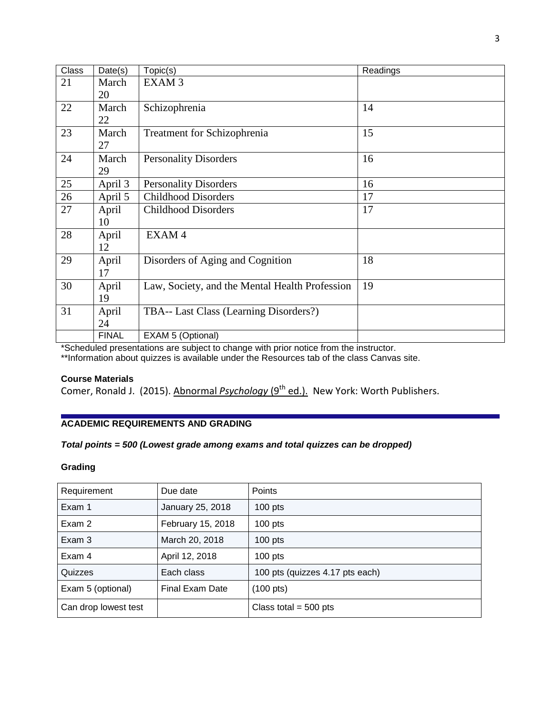| <b>Class</b> | Date(s)      | Topic(s)                                       | Readings |
|--------------|--------------|------------------------------------------------|----------|
| 21           | March        | EXAM <sub>3</sub>                              |          |
|              | 20           |                                                |          |
| 22           | March        | Schizophrenia                                  | 14       |
|              | 22           |                                                |          |
| 23           | March        | <b>Treatment for Schizophrenia</b>             | 15       |
|              | 27           |                                                |          |
| 24           | March        | <b>Personality Disorders</b>                   | 16       |
|              | 29           |                                                |          |
| 25           | April 3      | <b>Personality Disorders</b>                   | 16       |
| 26           | April 5      | <b>Childhood Disorders</b>                     | 17       |
| 27           | April        | <b>Childhood Disorders</b>                     | 17       |
|              | 10           |                                                |          |
| 28           | April        | EXAM4                                          |          |
|              | 12           |                                                |          |
| 29           | April        | Disorders of Aging and Cognition               | 18       |
|              | 17           |                                                |          |
| 30           | April        | Law, Society, and the Mental Health Profession | 19       |
|              | 19           |                                                |          |
| 31           | April        | TBA-- Last Class (Learning Disorders?)         |          |
|              | 24           |                                                |          |
|              | <b>FINAL</b> | EXAM 5 (Optional)                              |          |

\*Scheduled presentations are subject to change with prior notice from the instructor.

\*\*Information about quizzes is available under the Resources tab of the class Canvas site.

#### **Course Materials**

Comer, Ronald J. (2015). Abnormal *Psychology* (9th ed.). New York: Worth Publishers.

## **ACADEMIC REQUIREMENTS AND GRADING**

# *Total points = 500 (Lowest grade among exams and total quizzes can be dropped)*

#### **Grading**

| Requirement          | Due date          | <b>Points</b>                   |
|----------------------|-------------------|---------------------------------|
| Exam 1               | January 25, 2018  | 100 $pts$                       |
| Exam 2               | February 15, 2018 | $100$ pts                       |
| Exam 3               | March 20, 2018    | $100$ pts                       |
| Exam 4               | April 12, 2018    | $100$ pts                       |
| Quizzes              | Each class        | 100 pts (quizzes 4.17 pts each) |
| Exam 5 (optional)    | Final Exam Date   | $(100 \text{ pts})$             |
| Can drop lowest test |                   | Class total = $500$ pts         |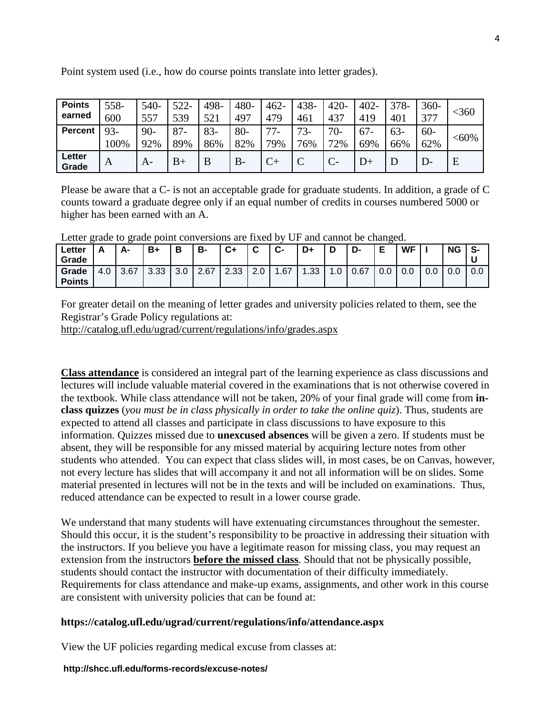| <b>Points</b><br>earned | 558-<br>600    | 540-<br>557  | 522-<br>539   | 498-<br>521   | 480-<br>497  | 462-<br>479  | 438-<br>461  | $420 -$<br>$43-$ | $402 -$<br>419 | $378-$<br>401 | 360-<br>377   | <360     |
|-------------------------|----------------|--------------|---------------|---------------|--------------|--------------|--------------|------------------|----------------|---------------|---------------|----------|
| <b>Percent</b>          | $93 -$<br>100% | $90-$<br>92% | $87 -$<br>89% | $83 -$<br>86% | $80-$<br>82% | $77-$<br>79% | $73-$<br>76% | $70-$<br>72%     | $67 -$<br>69%  | $63-$<br>66%  | $60 -$<br>62% | $< 60\%$ |
| Letter<br>Grade         | A              | $A-$         | $B+$          | B             | $B -$        |              | ╰            | $C-$             | D+             |               | D-            | E        |

Point system used (i.e., how do course points translate into letter grades).

Please be aware that a C- is not an acceptable grade for graduate students. In addition, a grade of C counts toward a graduate degree only if an equal number of credits in courses numbered 5000 or higher has been earned with an A.

| ∟etter<br>Grade        | A   | А-   | B+   | Ð<br>о | в-   | C+   | $\mathbf{r}$<br>v | $c-$ | D+               | D   | D-   | Е   | <b>WF</b> |     | ΝG  | S-  |
|------------------------|-----|------|------|--------|------|------|-------------------|------|------------------|-----|------|-----|-----------|-----|-----|-----|
| Grade<br><b>Points</b> | 4.0 | 3.67 | 3.33 | 3.0    | 2.67 | 2.33 | $\Omega$<br>z.u   | 1.67 | .33 <sub>1</sub> | I.U | 0.67 | 0.0 | 0.0       | 0.0 | 0.0 | 0.0 |

Letter grade to grade point conversions are fixed by UF and cannot be changed.

For greater detail on the meaning of letter grades and university policies related to them, see the Registrar's Grade Policy regulations at:

<http://catalog.ufl.edu/ugrad/current/regulations/info/grades.aspx>

**Class attendance** is considered an integral part of the learning experience as class discussions and lectures will include valuable material covered in the examinations that is not otherwise covered in the textbook. While class attendance will not be taken, 20% of your final grade will come from **inclass quizzes** (*you must be in class physically in order to take the online quiz*). Thus, students are expected to attend all classes and participate in class discussions to have exposure to this information. Quizzes missed due to **unexcused absences** will be given a zero. If students must be absent, they will be responsible for any missed material by acquiring lecture notes from other students who attended. You can expect that class slides will, in most cases, be on Canvas, however, not every lecture has slides that will accompany it and not all information will be on slides. Some material presented in lectures will not be in the texts and will be included on examinations. Thus, reduced attendance can be expected to result in a lower course grade.

We understand that many students will have extenuating circumstances throughout the semester. Should this occur, it is the student's responsibility to be proactive in addressing their situation with the instructors. If you believe you have a legitimate reason for missing class, you may request an extension from the instructors **before the missed class**. Should that not be physically possible, students should contact the instructor with documentation of their difficulty immediately. Requirements for class attendance and make-up exams, assignments, and other work in this course are consistent with university policies that can be found at:

# **https://catalog.ufl.edu/ugrad/current/regulations/info/attendance.aspx**

View the UF policies regarding medical excuse from classes at:

### **http://shcc.ufl.edu/forms-records/excuse-notes/**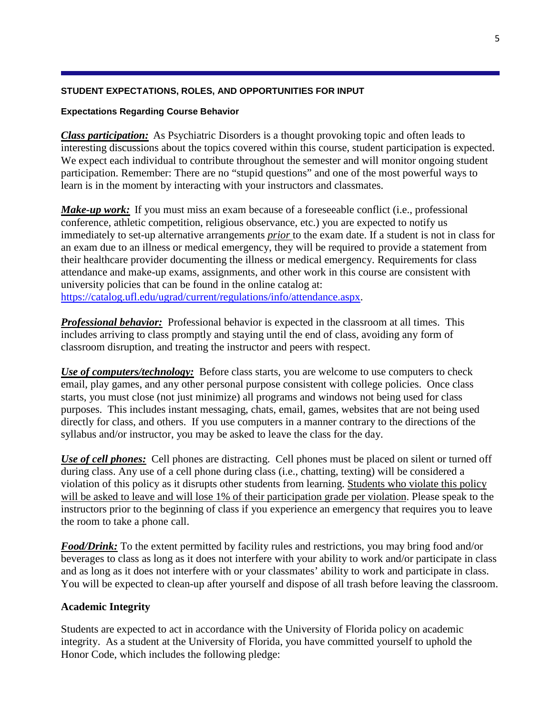### **STUDENT EXPECTATIONS, ROLES, AND OPPORTUNITIES FOR INPUT**

### **Expectations Regarding Course Behavior**

*Class participation:* As Psychiatric Disorders is a thought provoking topic and often leads to interesting discussions about the topics covered within this course, student participation is expected. We expect each individual to contribute throughout the semester and will monitor ongoing student participation. Remember: There are no "stupid questions" and one of the most powerful ways to learn is in the moment by interacting with your instructors and classmates.

*Make-up work*: If you must miss an exam because of a foreseeable conflict (i.e., professional conference, athletic competition, religious observance, etc.) you are expected to notify us immediately to set-up alternative arrangements *prior* to the exam date. If a student is not in class for an exam due to an illness or medical emergency, they will be required to provide a statement from their healthcare provider documenting the illness or medical emergency. Requirements for class attendance and make-up exams, assignments, and other work in this course are consistent with university policies that can be found in the online catalog at: [https://catalog.ufl.edu/ugrad/current/regulations/info/attendance.aspx.](https://catalog.ufl.edu/ugrad/current/regulations/info/attendance.aspx)

*Professional behavior:* Professional behavior is expected in the classroom at all times. This includes arriving to class promptly and staying until the end of class, avoiding any form of classroom disruption, and treating the instructor and peers with respect.

*Use of computers/technology:* Before class starts, you are welcome to use computers to check email, play games, and any other personal purpose consistent with college policies. Once class starts, you must close (not just minimize) all programs and windows not being used for class purposes. This includes instant messaging, chats, email, games, websites that are not being used directly for class, and others. If you use computers in a manner contrary to the directions of the syllabus and/or instructor, you may be asked to leave the class for the day.

*Use of cell phones:* Cell phones are distracting. Cell phones must be placed on silent or turned off during class. Any use of a cell phone during class (i.e., chatting, texting) will be considered a violation of this policy as it disrupts other students from learning. Students who violate this policy will be asked to leave and will lose 1% of their participation grade per violation. Please speak to the instructors prior to the beginning of class if you experience an emergency that requires you to leave the room to take a phone call.

*Food/Drink:* To the extent permitted by facility rules and restrictions, you may bring food and/or beverages to class as long as it does not interfere with your ability to work and/or participate in class and as long as it does not interfere with or your classmates' ability to work and participate in class. You will be expected to clean-up after yourself and dispose of all trash before leaving the classroom.

# **Academic Integrity**

Students are expected to act in accordance with the University of Florida policy on academic integrity. As a student at the University of Florida, you have committed yourself to uphold the Honor Code, which includes the following pledge: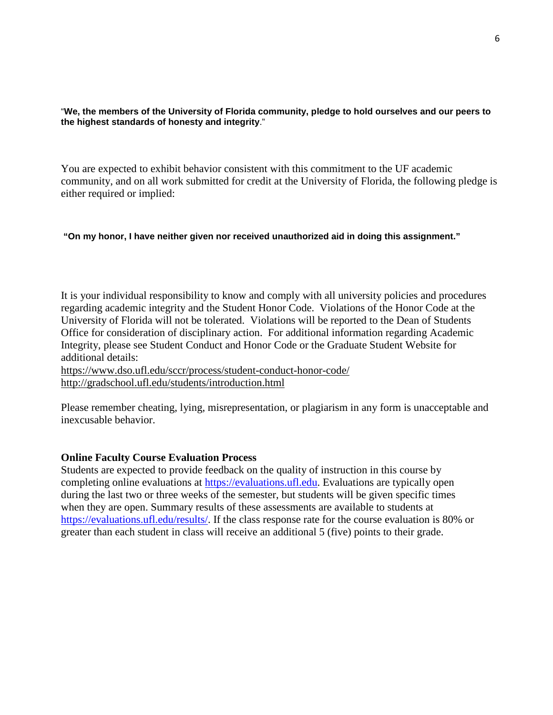"**We, the members of the University of Florida community, pledge to hold ourselves and our peers to the highest standards of honesty and integrity**."

You are expected to exhibit behavior consistent with this commitment to the UF academic community, and on all work submitted for credit at the University of Florida, the following pledge is either required or implied:

### **"On my honor, I have neither given nor received unauthorized aid in doing this assignment."**

It is your individual responsibility to know and comply with all university policies and procedures regarding academic integrity and the Student Honor Code. Violations of the Honor Code at the University of Florida will not be tolerated. Violations will be reported to the Dean of Students Office for consideration of disciplinary action. For additional information regarding Academic Integrity, please see Student Conduct and Honor Code or the Graduate Student Website for additional details:

<https://www.dso.ufl.edu/sccr/process/student-conduct-honor-code/> <http://gradschool.ufl.edu/students/introduction.html>

Please remember cheating, lying, misrepresentation, or plagiarism in any form is unacceptable and inexcusable behavior.

### **Online Faculty Course Evaluation Process**

Students are expected to provide feedback on the quality of instruction in this course by completing online evaluations at [https://evaluations.ufl.edu.](https://evaluations.ufl.edu/) Evaluations are typically open during the last two or three weeks of the semester, but students will be given specific times when they are open. Summary results of these assessments are available to students at [https://evaluations.ufl.edu/results/.](https://evaluations.ufl.edu/results/) If the class response rate for the course evaluation is 80% or greater than each student in class will receive an additional 5 (five) points to their grade.